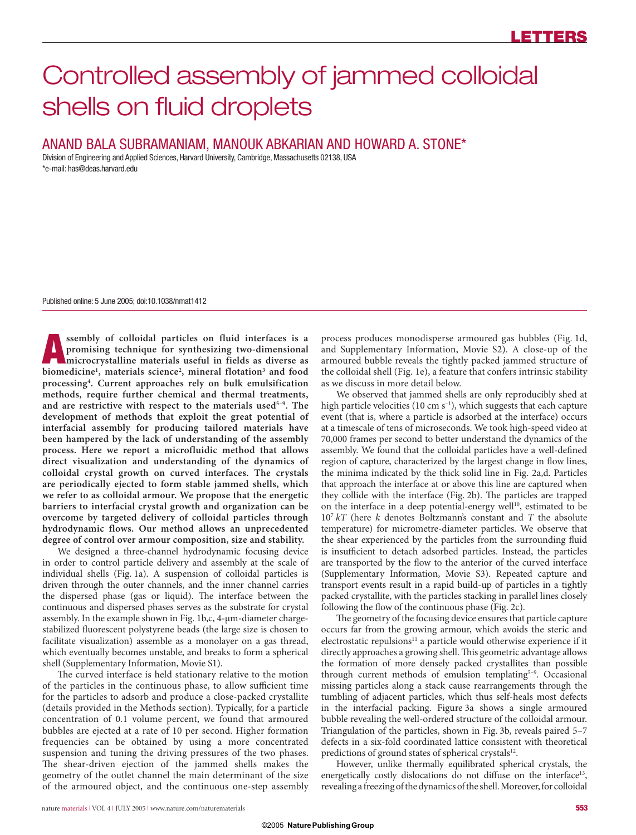# Controlled assembly of jammed colloidal shells on fluid droplets

## ANAND BALA SUBRAMANIAM, MANOUK ABKARIAN AND HOWARD A. STONE\*

Division of Engineering and Applied Sciences, Harvard University, Cambridge, Massachusetts 02138, USA \*e-mail: has@deas.harvard.edu

Published online: 5 June 2005; doi:10.1038/nmat1412

**A** ssembly of colloidal particles on fluid interfaces is a promising technique for synthesizing two-dimensional microcrystalline materials useful in fields as diverse as <br>biomedicinal materials science<sup>2</sup> mineral flotatio **promising technique for synthesizing two-dimensional**  biomedicine<sup>1</sup>, materials science<sup>2</sup>, mineral flotation<sup>3</sup> and food **processing4 . Current approaches rely on bulk emulsification methods, require further chemical and thermal treatments, and are restrictive with respect to the materials used5–9. The development of methods that exploit the great potential of interfacial assembly for producing tailored materials have been hampered by the lack of understanding of the assembly process. Here we report a microfluidic method that allows direct visualization and understanding of the dynamics of colloidal crystal growth on curved interfaces. The crystals are periodically ejected to form stable jammed shells, which we refer to as colloidal armour. We propose that the energetic barriers to interfacial crystal growth and organization can be overcome by targeted delivery of colloidal particles through hydrodynamic flows. Our method allows an unprecedented degree of control over armour composition, size and stability.**

We designed a three-channel hydrodynamic focusing device in order to control particle delivery and assembly at the scale of individual shells (Fig. 1a). A suspension of colloidal particles is driven through the outer channels, and the inner channel carries the dispersed phase (gas or liquid). The interface between the continuous and dispersed phases serves as the substrate for crystal assembly. In the example shown in Fig. 1b,c, 4-µm-diameter chargestabilized fluorescent polystyrene beads (the large size is chosen to facilitate visualization) assemble as a monolayer on a gas thread, which eventually becomes unstable, and breaks to form a spherical shell (Supplementary Information, Movie S1).

The curved interface is held stationary relative to the motion of the particles in the continuous phase, to allow sufficient time for the particles to adsorb and produce a close-packed crystallite (details provided in the Methods section). Typically, for a particle concentration of 0.1 volume percent, we found that armoured bubbles are ejected at a rate of 10 per second. Higher formation frequencies can be obtained by using a more concentrated suspension and tuning the driving pressures of the two phases. The shear-driven ejection of the jammed shells makes the geometry of the outlet channel the main determinant of the size of the armoured object, and the continuous one-step assembly

process produces monodisperse armoured gas bubbles (Fig. 1d, and Supplementary Information, Movie S2). A close-up of the armoured bubble reveals the tightly packed jammed structure of the colloidal shell (Fig. 1e), a feature that confers intrinsic stability as we discuss in more detail below.

We observed that jammed shells are only reproducibly shed at high particle velocities (10 cm  $s^{-1}$ ), which suggests that each capture event (that is, where a particle is adsorbed at the interface) occurs at a timescale of tens of microseconds. We took high-speed video at 70,000 frames per second to better understand the dynamics of the assembly. We found that the colloidal particles have a well-defined region of capture, characterized by the largest change in flow lines, the minima indicated by the thick solid line in Fig. 2a,d. Particles that approach the interface at or above this line are captured when they collide with the interface (Fig. 2b). The particles are trapped on the interface in a deep potential-energy well $10$ , estimated to be 107 *kT* (here *k* denotes Boltzmann's constant and *T* the absolute temperature) for micrometre-diameter particles. We observe that the shear experienced by the particles from the surrounding fluid is insufficient to detach adsorbed particles. Instead, the particles are transported by the flow to the anterior of the curved interface (Supplementary Information, Movie S3). Repeated capture and transport events result in a rapid build-up of particles in a tightly packed crystallite, with the particles stacking in parallel lines closely following the flow of the continuous phase (Fig. 2c).

The geometry of the focusing device ensures that particle capture occurs far from the growing armour, which avoids the steric and electrostatic repulsions<sup>11</sup> a particle would otherwise experience if it directly approaches a growing shell. This geometric advantage allows the formation of more densely packed crystallites than possible through current methods of emulsion templating<sup>5-9</sup>. Occasional missing particles along a stack cause rearrangements through the tumbling of adjacent particles, which thus self-heals most defects in the interfacial packing. Figure 3a shows a single armoured bubble revealing the well-ordered structure of the colloidal armour. Triangulation of the particles, shown in Fig. 3b, reveals paired 5–7 defects in a six-fold coordinated lattice consistent with theoretical predictions of ground states of spherical crystals<sup>12</sup>.

However, unlike thermally equilibrated spherical crystals, the energetically costly dislocations do not diffuse on the interface<sup>13</sup>, revealing a freezing of the dynamics of the shell. Moreover, for colloidal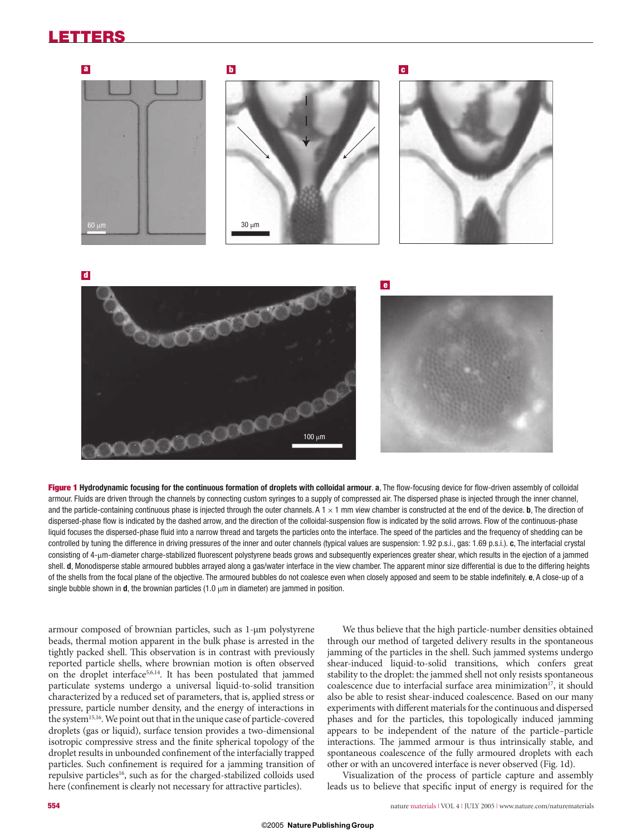# **LETTERS**



Figure 1 Hydrodynamic focusing for the continuous formation of droplets with colloidal armour. a, The flow-focusing device for flow-driven assembly of colloidal armour. Fluids are driven through the channels by connecting custom syringes to a supply of compressed air. The dispersed phase is injected through the inner channel, and the particle-containing continuous phase is injected through the outer channels. A  $1 \times 1$  mm view chamber is constructed at the end of the device. **b**, The direction of dispersed-phase flow is indicated by the dashed arrow, and the direction of the colloidal-suspension flow is indicated by the solid arrows. Flow of the continuous-phase liquid focuses the dispersed-phase fluid into a narrow thread and targets the particles onto the interface. The speed of the particles and the frequency of shedding can be controlled by tuning the difference in driving pressures of the inner and outer channels (typical values are suspension: 1.92 p.s.i., gas: 1.69 p.s.i.). **c**, The interfacial crystal consisting of 4-µm-diameter charge-stabilized fluorescent polystyrene beads grows and subsequently experiences greater shear, which results in the ejection of a jammed shell. **d**, Monodisperse stable armoured bubbles arrayed along a gas/water interface in the view chamber. The apparent minor size differential is due to the differing heights of the shells from the focal plane of the objective. The armoured bubbles do not coalesce even when closely apposed and seem to be stable indefi nitely. **e**, A close-up of a single bubble shown in  $d$ , the brownian particles  $(1.0 \mu m)$  in diameter) are jammed in position.

armour composed of brownian particles, such as 1-μm polystyrene beads, thermal motion apparent in the bulk phase is arrested in the tightly packed shell. This observation is in contrast with previously reported particle shells, where brownian motion is often observed on the droplet interface<sup>5,6,14</sup>. It has been postulated that jammed particulate systems undergo a universal liquid-to-solid transition characterized by a reduced set of parameters, that is, applied stress or pressure, particle number density, and the energy of interactions in the system<sup>15,16</sup>. We point out that in the unique case of particle-covered droplets (gas or liquid), surface tension provides a two-dimensional isotropic compressive stress and the finite spherical topology of the droplet results in unbounded confinement of the interfacially trapped particles. Such confinement is required for a jamming transition of repulsive particles<sup>16</sup>, such as for the charged-stabilized colloids used here (confinement is clearly not necessary for attractive particles).

We thus believe that the high particle-number densities obtained through our method of targeted delivery results in the spontaneous jamming of the particles in the shell. Such jammed systems undergo shear-induced liquid-to-solid transitions, which confers great stability to the droplet: the jammed shell not only resists spontaneous coalescence due to interfacial surface area minimization $17$ , it should also be able to resist shear-induced coalescence. Based on our many experiments with different materials for the continuous and dispersed phases and for the particles, this topologically induced jamming appears to be independent of the nature of the particle–particle interactions. The jammed armour is thus intrinsically stable, and spontaneous coalescence of the fully armoured droplets with each other or with an uncovered interface is never observed (Fig. 1d).

Visualization of the process of particle capture and assembly leads us to believe that specific input of energy is required for the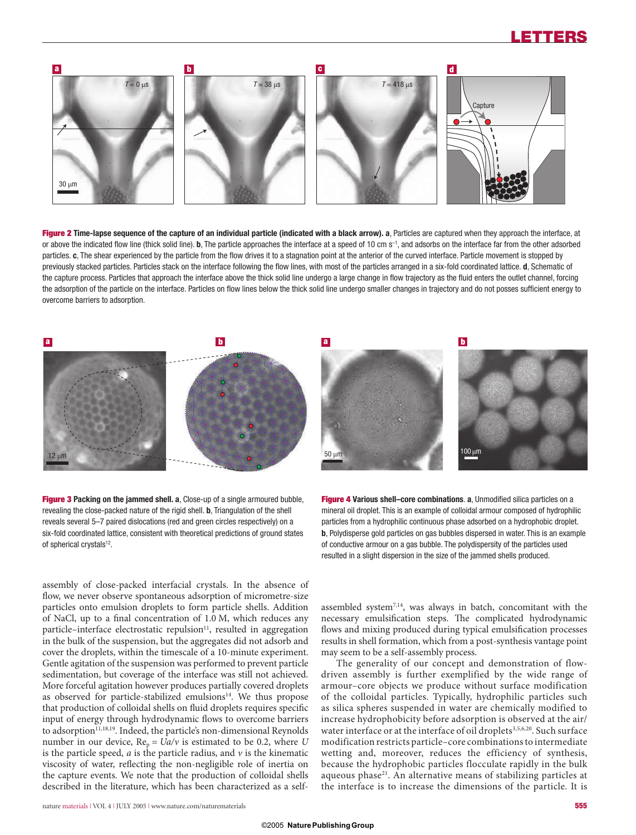# **LETTERS**



**Figure 2 Time-lapse sequence of the capture of an individual particle (indicated with a black arrow). a**, Particles are captured when they approach the interface, at or above the indicated flow line (thick solid line). **b**, The particle approaches the interface at a speed of 10 cm s<sup>-1</sup>, and adsorbs on the interface far from the other adsorbed particles. c, The shear experienced by the particle from the flow drives it to a stagnation point at the anterior of the curved interface. Particle movement is stopped by previously stacked particles. Particles stack on the interface following the flow lines, with most of the particles arranged in a six-fold coordinated lattice. **d**, Schematic of the capture process. Particles that approach the interface above the thick solid line undergo a large change in flow trajectory as the fluid enters the outlet channel, forcing the adsorption of the particle on the interface. Particles on flow lines below the thick solid line undergo smaller changes in trajectory and do not posses sufficient energy to overcome barriers to adsorption.



**Figure 3 Packing on the jammed shell. a**, Close-up of a single armoured bubble, revealing the close-packed nature of the rigid shell. **b**, Triangulation of the shell reveals several 5–7 paired dislocations (red and green circles respectively) on a six-fold coordinated lattice, consistent with theoretical predictions of ground states of spherical crystals<sup>12</sup>.

assembly of close-packed interfacial crystals. In the absence of flow, we never observe spontaneous adsorption of micrometre-size particles onto emulsion droplets to form particle shells. Addition of NaCl, up to a final concentration of  $1.0$  M, which reduces any particle–interface electrostatic repulsion<sup>11</sup>, resulted in aggregation in the bulk of the suspension, but the aggregates did not adsorb and cover the droplets, within the timescale of a 10-minute experiment. Gentle agitation of the suspension was performed to prevent particle sedimentation, but coverage of the interface was still not achieved. More forceful agitation however produces partially covered droplets as observed for particle-stabilized emulsions<sup>14</sup>. We thus propose that production of colloidal shells on fluid droplets requires specific input of energy through hydrodynamic flows to overcome barriers to adsorption<sup>11,18,19</sup>. Indeed, the particle's non-dimensional Reynolds number in our device,  $Re_p = Ua/v$  is estimated to be 0.2, where *U* is the particle speed, *a* is the particle radius, and *ν* is the kinematic viscosity of water, reflecting the non-negligible role of inertia on the capture events. We note that the production of colloidal shells described in the literature, which has been characterized as a self**Figure 4** Various shell–core combinations. a, Unmodified silica particles on a mineral oil droplet. This is an example of colloidal armour composed of hydrophilic particles from a hydrophilic continuous phase adsorbed on a hydrophobic droplet. **b**, Polydisperse gold particles on gas bubbles dispersed in water. This is an example of conductive armour on a gas bubble. The polydispersity of the particles used resulted in a slight dispersion in the size of the jammed shells produced.

assembled system7,14, was always in batch, concomitant with the necessary emulsification steps. The complicated hydrodynamic flows and mixing produced during typical emulsification processes results in shell formation, which from a post-synthesis vantage point may seem to be a self-assembly process.

The generality of our concept and demonstration of flowdriven assembly is further exemplified by the wide range of armour–core objects we produce without surface modification of the colloidal particles. Typically, hydrophilic particles such as silica spheres suspended in water are chemically modified to increase hydrophobicity before adsorption is observed at the air/ water interface or at the interface of oil droplets<sup>3,5,6,20</sup>. Such surface modification restricts particle–core combinations to intermediate wetting and, moreover, reduces the efficiency of synthesis, because the hydrophobic particles flocculate rapidly in the bulk aqueous phase<sup>21</sup>. An alternative means of stabilizing particles at the interface is to increase the dimensions of the particle. It is